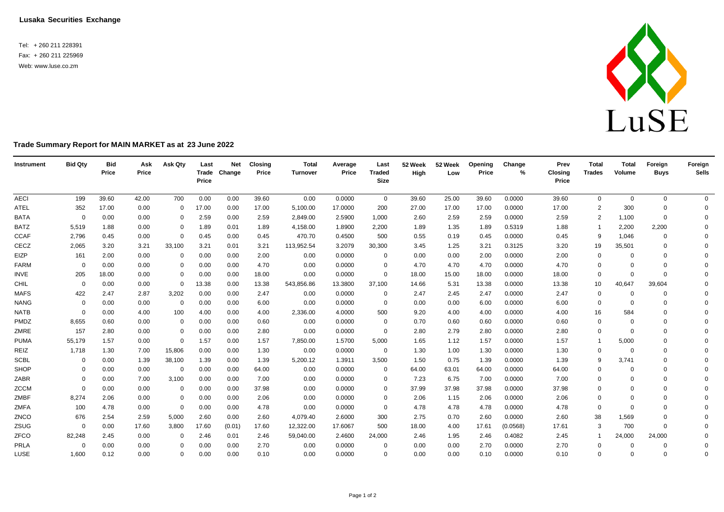**Lusaka Securities Exchange**

Tel: + 260 211 228391 Fax: + 260 211 225969 Web: [www.luse.co.zm](http://www.luse.co.zm/)



## **Trade Summary Report for MAIN MARKET as at 23 June 2022**

| Instrument  | <b>Bid Qty</b> | <b>Bid</b><br>Price | Ask<br>Price | Ask Qty        | Last<br>Price | <b>Net</b><br>Trade Change | <b>Closing</b><br>Price | <b>Total</b><br>Turnover | Average<br>Price | Last<br><b>Traded</b><br><b>Size</b> | 52 Week<br>High | 52 Week<br>Low | Opening<br>Price | Change<br>% | Prev<br>Closing<br>Price | <b>Total</b><br><b>Trades</b> | <b>Total</b><br>Volume | Foreign<br><b>Buys</b> | Foreign<br><b>Sells</b> |
|-------------|----------------|---------------------|--------------|----------------|---------------|----------------------------|-------------------------|--------------------------|------------------|--------------------------------------|-----------------|----------------|------------------|-------------|--------------------------|-------------------------------|------------------------|------------------------|-------------------------|
| <b>AECI</b> | 199            | 39.60               | 42.00        | 700            | 0.00          | 0.00                       | 39.60                   | 0.00                     | 0.0000           | $\mathbf 0$                          | 39.60           | 25.00          | 39.60            | 0.0000      | 39.60                    | 0                             | $\mathbf 0$            | $\mathbf 0$            | $\overline{0}$          |
| ATEL        | 352            | 17.00               | 0.00         | $\Omega$       | 17.00         | 0.00                       | 17.00                   | 5,100.00                 | 17.0000          | 200                                  | 27.00           | 17.00          | 17.00            | 0.0000      | 17.00                    | $\overline{2}$                | 300                    | $\Omega$               | $\Omega$                |
| <b>BATA</b> | 0              | 0.00                | 0.00         | 0              | 2.59          | 0.00                       | 2.59                    | 2,849.00                 | 2.5900           | 1,000                                | 2.60            | 2.59           | 2.59             | 0.0000      | 2.59                     | $\overline{2}$                | 1,100                  | $\mathbf 0$            | $\Omega$                |
| <b>BATZ</b> | 5,519          | 1.88                | 0.00         | 0              | 1.89          | 0.01                       | 1.89                    | 4,158.00                 | 1.8900           | 2,200                                | 1.89            | 1.35           | 1.89             | 0.5319      | 1.88                     | -1                            | 2,200                  | 2,200                  | $\Omega$                |
| <b>CCAF</b> | 2,796          | 0.45                | 0.00         | $\Omega$       | 0.45          | 0.00                       | 0.45                    | 470.70                   | 0.4500           | 500                                  | 0.55            | 0.19           | 0.45             | 0.0000      | 0.45                     | 9                             | 1,046                  | $\Omega$               | $\Omega$                |
| CECZ        | 2,065          | 3.20                | 3.21         | 33,100         | 3.21          | 0.01                       | 3.21                    | 113,952.54               | 3.2079           | 30,300                               | 3.45            | 1.25           | 3.21             | 0.3125      | 3.20                     | 19                            | 35,501                 | $\mathbf 0$            | $\Omega$                |
| EIZP        | 161            | 2.00                | 0.00         | $\overline{0}$ | 0.00          | 0.00                       | 2.00                    | 0.00                     | 0.0000           | 0                                    | 0.00            | 0.00           | 2.00             | 0.0000      | 2.00                     | 0                             | $\Omega$               | $\Omega$               | $\Omega$                |
| <b>FARM</b> | $\Omega$       | 0.00                | 0.00         | $\Omega$       | 0.00          | 0.00                       | 4.70                    | 0.00                     | 0.0000           | 0                                    | 4.70            | 4.70           | 4.70             | 0.0000      | 4.70                     | $\mathbf 0$                   | $\Omega$               | $\Omega$               | $\Omega$                |
| <b>INVE</b> | 205            | 18.00               | 0.00         | $\Omega$       | 0.00          | 0.00                       | 18.00                   | 0.00                     | 0.0000           | $\mathbf{0}$                         | 18.00           | 15.00          | 18.00            | 0.0000      | 18.00                    | 0                             | $\Omega$               | $\Omega$               | $\Omega$                |
| CHIL        | $\Omega$       | 0.00                | 0.00         | $\Omega$       | 13.38         | 0.00                       | 13.38                   | 543,856.86               | 13.3800          | 37,100                               | 14.66           | 5.31           | 13.38            | 0.0000      | 13.38                    | 10                            | 40,647                 | 39,604                 | $\Omega$                |
| <b>MAFS</b> | 422            | 2.47                | 2.87         | 3,202          | 0.00          | 0.00                       | 2.47                    | 0.00                     | 0.0000           | 0                                    | 2.47            | 2.45           | 2.47             | 0.0000      | 2.47                     | 0                             | $\Omega$               | $\Omega$               | $\Omega$                |
| <b>NANG</b> | $\Omega$       | 0.00                | 0.00         | 0              | 0.00          | 0.00                       | 6.00                    | 0.00                     | 0.0000           | $\overline{0}$                       | 0.00            | 0.00           | 6.00             | 0.0000      | 6.00                     | 0                             | $\Omega$               | $\Omega$               | $\Omega$                |
| <b>NATB</b> | $\Omega$       | 0.00                | 4.00         | 100            | 4.00          | 0.00                       | 4.00                    | 2,336.00                 | 4.0000           | 500                                  | 9.20            | 4.00           | 4.00             | 0.0000      | 4.00                     | 16                            | 584                    | $\Omega$               | $\Omega$                |
| PMDZ        | 8,655          | 0.60                | 0.00         | 0              | 0.00          | 0.00                       | 0.60                    | 0.00                     | 0.0000           | $\overline{0}$                       | 0.70            | 0.60           | 0.60             | 0.0000      | 0.60                     | 0                             | $\Omega$               | $\Omega$               | $\Omega$                |
| ZMRE        | 157            | 2.80                | 0.00         | $\Omega$       | 0.00          | 0.00                       | 2.80                    | 0.00                     | 0.0000           | 0                                    | 2.80            | 2.79           | 2.80             | 0.0000      | 2.80                     | $\mathbf 0$                   | $\Omega$               | $\Omega$               | $\Omega$                |
| <b>PUMA</b> | 55,179         | 1.57                | 0.00         | $\overline{0}$ | 1.57          | 0.00                       | 1.57                    | 7,850.00                 | 1.5700           | 5,000                                | 1.65            | 1.12           | 1.57             | 0.0000      | 1.57                     | $\overline{1}$                | 5,000                  | $\Omega$               | $\Omega$                |
| REIZ        | 1,718          | 1.30                | 7.00         | 15,806         | 0.00          | 0.00                       | 1.30                    | 0.00                     | 0.0000           | $\mathbf 0$                          | 1.30            | 1.00           | 1.30             | 0.0000      | 1.30                     | 0                             | $\Omega$               | $\Omega$               | $\Omega$                |
| <b>SCBL</b> | $\Omega$       | 0.00                | 1.39         | 38,100         | 1.39          | 0.00                       | 1.39                    | 5,200.12                 | 1.3911           | 3,500                                | 1.50            | 0.75           | 1.39             | 0.0000      | 1.39                     | 9                             | 3,741                  | $\Omega$               | $\Omega$                |
| SHOP        | $\Omega$       | 0.00                | 0.00         | 0              | 0.00          | 0.00                       | 64.00                   | 0.00                     | 0.0000           | $\mathbf 0$                          | 64.00           | 63.01          | 64.00            | 0.0000      | 64.00                    | 0                             | $\Omega$               | $\Omega$               | $\Omega$                |
| ZABR        | $\Omega$       | 0.00                | 7.00         | 3,100          | 0.00          | 0.00                       | 7.00                    | 0.00                     | 0.0000           | 0                                    | 7.23            | 6.75           | 7.00             | 0.0000      | 7.00                     | $\mathbf 0$                   | $\Omega$               | $\Omega$               | $\Omega$                |
| <b>ZCCM</b> | $\Omega$       | 0.00                | 0.00         | $\overline{0}$ | 0.00          | 0.00                       | 37.98                   | 0.00                     | 0.0000           | $\Omega$                             | 37.99           | 37.98          | 37.98            | 0.0000      | 37.98                    | $\mathbf 0$                   | $\Omega$               | $\Omega$               | $\Omega$                |
| ZMBF        | 8,274          | 2.06                | 0.00         | $\overline{0}$ | 0.00          | 0.00                       | 2.06                    | 0.00                     | 0.0000           | 0                                    | 2.06            | 1.15           | 2.06             | 0.0000      | 2.06                     | $\mathbf 0$                   | $\Omega$               | $\Omega$               | $\Omega$                |
| ZMFA        | 100            | 4.78                | 0.00         | $\overline{0}$ | 0.00          | 0.00                       | 4.78                    | 0.00                     | 0.0000           | $\mathbf{0}$                         | 4.78            | 4.78           | 4.78             | 0.0000      | 4.78                     | 0                             | $\Omega$               | $\Omega$               | $\Omega$                |
| ZNCO        | 676            | 2.54                | 2.59         | 5,000          | 2.60          | 0.00                       | 2.60                    | 4,079.40                 | 2.6000           | 300                                  | 2.75            | 0.70           | 2.60             | 0.0000      | 2.60                     | 38                            | 1,569                  | $\Omega$               | $\Omega$                |
| ZSUG        | $\mathbf 0$    | 0.00                | 17.60        | 3,800          | 17.60         | (0.01)                     | 17.60                   | 12,322.00                | 17.6067          | 500                                  | 18.00           | 4.00           | 17.61            | (0.0568)    | 17.61                    | 3                             | 700                    | $\Omega$               | $\Omega$                |
| ZFCO        | 82,248         | 2.45                | 0.00         | 0              | 2.46          | 0.01                       | 2.46                    | 59,040.00                | 2.4600           | 24,000                               | 2.46            | 1.95           | 2.46             | 0.4082      | 2.45                     | -1                            | 24,000                 | 24,000                 | $\Omega$                |
| PRLA        | $\Omega$       | 0.00                | 0.00         | $\Omega$       | 0.00          | 0.00                       | 2.70                    | 0.00                     | 0.0000           | 0                                    | 0.00            | 0.00           | 2.70             | 0.0000      | 2.70                     | $\mathbf 0$                   | $\Omega$               | $\Omega$               | 0                       |
| LUSE        | 1,600          | 0.12                | 0.00         | $\mathbf 0$    | 0.00          | 0.00                       | 0.10                    | 0.00                     | 0.0000           | $\Omega$                             | 0.00            | 0.00           | 0.10             | 0.0000      | 0.10                     | $\mathbf 0$                   | $\Omega$               | $\Omega$               | $\Omega$                |